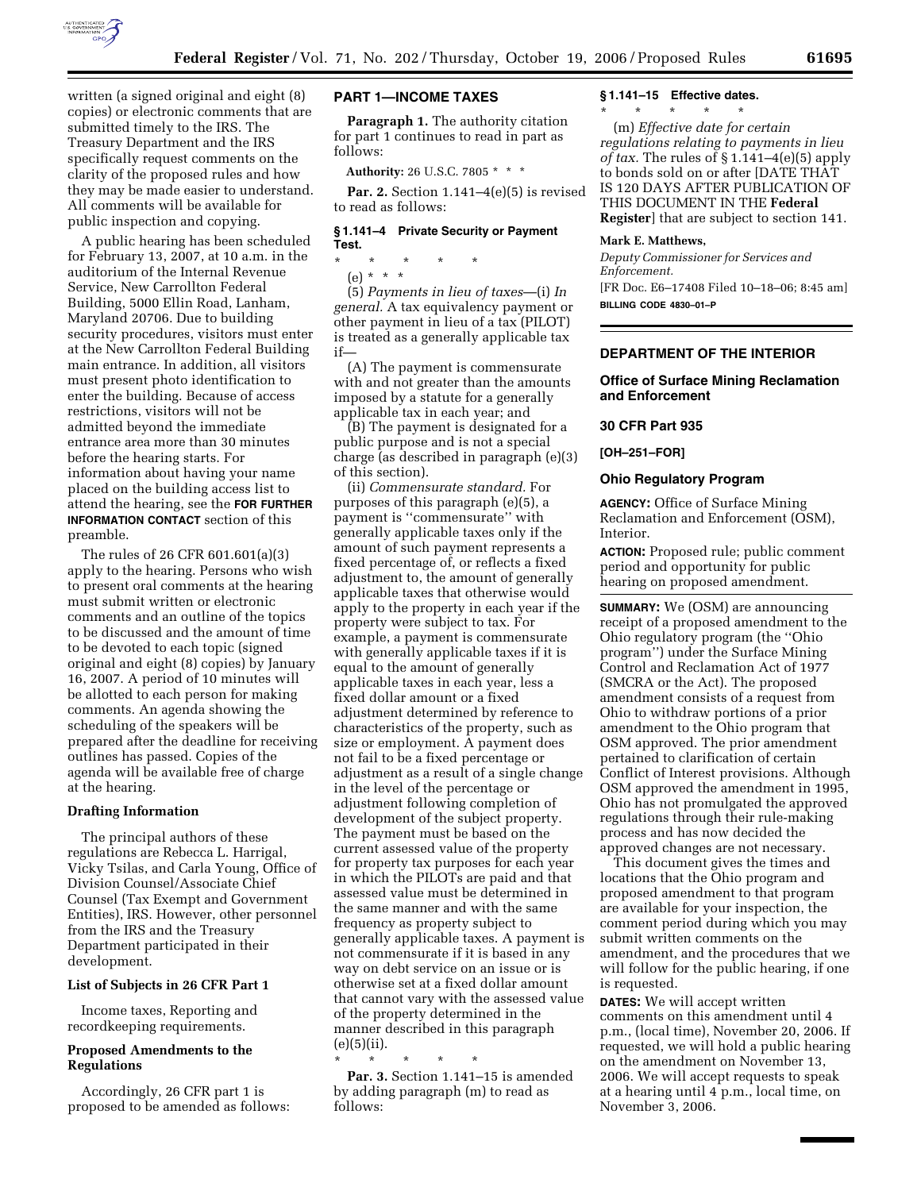

written (a signed original and eight (8) copies) or electronic comments that are submitted timely to the IRS. The Treasury Department and the IRS specifically request comments on the clarity of the proposed rules and how they may be made easier to understand. All comments will be available for public inspection and copying.

A public hearing has been scheduled for February 13, 2007, at 10 a.m. in the auditorium of the Internal Revenue Service, New Carrollton Federal Building, 5000 Ellin Road, Lanham, Maryland 20706. Due to building security procedures, visitors must enter at the New Carrollton Federal Building main entrance. In addition, all visitors must present photo identification to enter the building. Because of access restrictions, visitors will not be admitted beyond the immediate entrance area more than 30 minutes before the hearing starts. For information about having your name placed on the building access list to attend the hearing, see the **FOR FURTHER INFORMATION CONTACT** section of this preamble.

The rules of 26 CFR 601.601(a)(3) apply to the hearing. Persons who wish to present oral comments at the hearing must submit written or electronic comments and an outline of the topics to be discussed and the amount of time to be devoted to each topic (signed original and eight (8) copies) by January 16, 2007. A period of 10 minutes will be allotted to each person for making comments. An agenda showing the scheduling of the speakers will be prepared after the deadline for receiving outlines has passed. Copies of the agenda will be available free of charge at the hearing.

#### **Drafting Information**

The principal authors of these regulations are Rebecca L. Harrigal, Vicky Tsilas, and Carla Young, Office of Division Counsel/Associate Chief Counsel (Tax Exempt and Government Entities), IRS. However, other personnel from the IRS and the Treasury Department participated in their development.

### **List of Subjects in 26 CFR Part 1**

Income taxes, Reporting and recordkeeping requirements.

## **Proposed Amendments to the Regulations**

Accordingly, 26 CFR part 1 is proposed to be amended as follows:

## **PART 1—INCOME TAXES**

**Paragraph 1.** The authority citation for part 1 continues to read in part as follows:

**Authority:** 26 U.S.C. 7805 \* \* \*

**Par. 2.** Section 1.141–4(e)(5) is revised to read as follows:

## **§ 1.141–4 Private Security or Payment Test.**

\* \* \* \* \* (e) \* \* \*

(5) *Payments in lieu of taxes*—(i) *In general.* A tax equivalency payment or other payment in lieu of a tax (PILOT) is treated as a generally applicable tax if—

(A) The payment is commensurate with and not greater than the amounts imposed by a statute for a generally applicable tax in each year; and

(B) The payment is designated for a public purpose and is not a special charge (as described in paragraph (e)(3) of this section).

(ii) *Commensurate standard.* For purposes of this paragraph (e)(5), a payment is ''commensurate'' with generally applicable taxes only if the amount of such payment represents a fixed percentage of, or reflects a fixed adjustment to, the amount of generally applicable taxes that otherwise would apply to the property in each year if the property were subject to tax. For example, a payment is commensurate with generally applicable taxes if it is equal to the amount of generally applicable taxes in each year, less a fixed dollar amount or a fixed adjustment determined by reference to characteristics of the property, such as size or employment. A payment does not fail to be a fixed percentage or adjustment as a result of a single change in the level of the percentage or adjustment following completion of development of the subject property. The payment must be based on the current assessed value of the property for property tax purposes for each year in which the PILOTs are paid and that assessed value must be determined in the same manner and with the same frequency as property subject to generally applicable taxes. A payment is not commensurate if it is based in any way on debt service on an issue or is otherwise set at a fixed dollar amount that cannot vary with the assessed value of the property determined in the manner described in this paragraph  $(e)(5)(ii)$ .

\* \* \* \* \*

**Par. 3.** Section 1.141–15 is amended by adding paragraph (m) to read as follows:

#### **§ 1.141–15 Effective dates.**

\* \* \* \* \*

(m) *Effective date for certain regulations relating to payments in lieu of tax.* The rules of § 1.141–4(e)(5) apply to bonds sold on or after [DATE THAT IS 120 DAYS AFTER PUBLICATION OF THIS DOCUMENT IN THE **Federal Register**] that are subject to section 141.

#### **Mark E. Matthews,**

*Deputy Commissioner for Services and Enforcement.* 

[FR Doc. E6–17408 Filed 10–18–06; 8:45 am] **BILLING CODE 4830–01–P** 

## **DEPARTMENT OF THE INTERIOR**

### **Office of Surface Mining Reclamation and Enforcement**

#### **30 CFR Part 935**

**[OH–251–FOR]** 

#### **Ohio Regulatory Program**

**AGENCY:** Office of Surface Mining Reclamation and Enforcement (OSM), Interior.

**ACTION:** Proposed rule; public comment period and opportunity for public hearing on proposed amendment.

**SUMMARY:** We (OSM) are announcing receipt of a proposed amendment to the Ohio regulatory program (the ''Ohio program'') under the Surface Mining Control and Reclamation Act of 1977 (SMCRA or the Act). The proposed amendment consists of a request from Ohio to withdraw portions of a prior amendment to the Ohio program that OSM approved. The prior amendment pertained to clarification of certain Conflict of Interest provisions. Although OSM approved the amendment in 1995, Ohio has not promulgated the approved regulations through their rule-making process and has now decided the approved changes are not necessary.

This document gives the times and locations that the Ohio program and proposed amendment to that program are available for your inspection, the comment period during which you may submit written comments on the amendment, and the procedures that we will follow for the public hearing, if one is requested.

**DATES:** We will accept written comments on this amendment until 4 p.m., (local time), November 20, 2006. If requested, we will hold a public hearing on the amendment on November 13, 2006. We will accept requests to speak at a hearing until 4 p.m., local time, on November 3, 2006.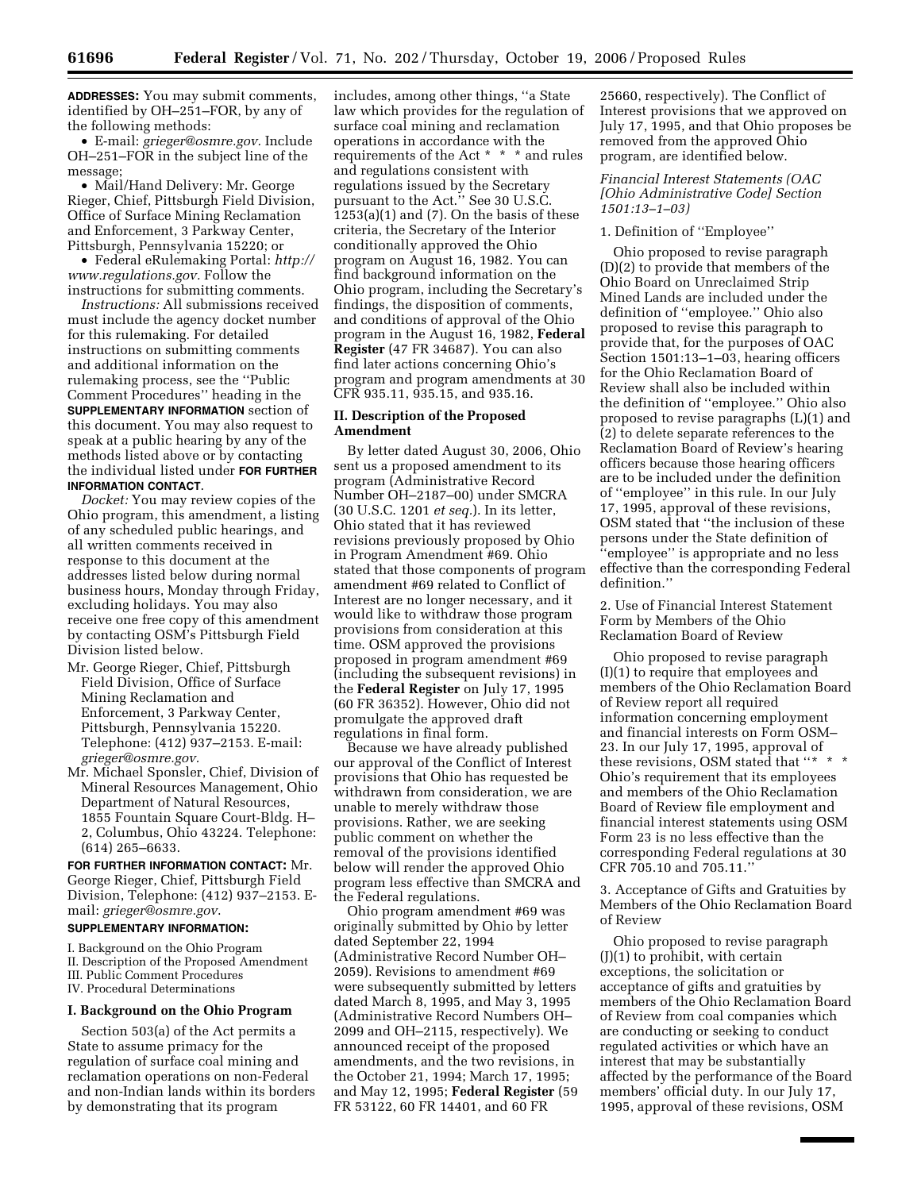**ADDRESSES:** You may submit comments, identified by OH–251–FOR, by any of the following methods:

• E-mail: *grieger@osmre.gov.* Include OH–251–FOR in the subject line of the message;

• Mail/Hand Delivery: Mr. George Rieger, Chief, Pittsburgh Field Division, Office of Surface Mining Reclamation and Enforcement, 3 Parkway Center, Pittsburgh, Pennsylvania 15220; or

• Federal eRulemaking Portal: *http:// www.regulations.gov.* Follow the instructions for submitting comments.

*Instructions:* All submissions received must include the agency docket number for this rulemaking. For detailed instructions on submitting comments and additional information on the rulemaking process, see the ''Public Comment Procedures'' heading in the **SUPPLEMENTARY INFORMATION** section of this document. You may also request to speak at a public hearing by any of the methods listed above or by contacting the individual listed under **FOR FURTHER INFORMATION CONTACT**.

*Docket:* You may review copies of the Ohio program, this amendment, a listing of any scheduled public hearings, and all written comments received in response to this document at the addresses listed below during normal business hours, Monday through Friday, excluding holidays. You may also receive one free copy of this amendment by contacting OSM's Pittsburgh Field Division listed below.

- Mr. George Rieger, Chief, Pittsburgh Field Division, Office of Surface Mining Reclamation and Enforcement, 3 Parkway Center, Pittsburgh, Pennsylvania 15220. Telephone: (412) 937–2153. E-mail: *grieger@osmre.gov.*
- Mr. Michael Sponsler, Chief, Division of Mineral Resources Management, Ohio Department of Natural Resources, 1855 Fountain Square Court-Bldg. H– 2, Columbus, Ohio 43224. Telephone: (614) 265–6633.

**FOR FURTHER INFORMATION CONTACT:** Mr. George Rieger, Chief, Pittsburgh Field Division, Telephone: (412) 937–2153. Email: *grieger@osmre.gov*.

### **SUPPLEMENTARY INFORMATION:**

I. Background on the Ohio Program II. Description of the Proposed Amendment III. Public Comment Procedures

IV. Procedural Determinations

#### **I. Background on the Ohio Program**

Section 503(a) of the Act permits a State to assume primacy for the regulation of surface coal mining and reclamation operations on non-Federal and non-Indian lands within its borders by demonstrating that its program

includes, among other things, ''a State law which provides for the regulation of surface coal mining and reclamation operations in accordance with the requirements of the Act \* \* \* and rules and regulations consistent with regulations issued by the Secretary pursuant to the Act.'' See 30 U.S.C. 1253(a)(1) and (7). On the basis of these criteria, the Secretary of the Interior conditionally approved the Ohio program on August 16, 1982. You can find background information on the Ohio program, including the Secretary's findings, the disposition of comments, and conditions of approval of the Ohio program in the August 16, 1982, **Federal Register** (47 FR 34687). You can also find later actions concerning Ohio's program and program amendments at 30 CFR 935.11, 935.15, and 935.16.

## **II. Description of the Proposed Amendment**

By letter dated August 30, 2006, Ohio sent us a proposed amendment to its program (Administrative Record Number OH–2187–00) under SMCRA (30 U.S.C. 1201 *et seq.*). In its letter, Ohio stated that it has reviewed revisions previously proposed by Ohio in Program Amendment #69. Ohio stated that those components of program amendment #69 related to Conflict of Interest are no longer necessary, and it would like to withdraw those program provisions from consideration at this time. OSM approved the provisions proposed in program amendment #69 (including the subsequent revisions) in the **Federal Register** on July 17, 1995 (60 FR 36352). However, Ohio did not promulgate the approved draft regulations in final form.

Because we have already published our approval of the Conflict of Interest provisions that Ohio has requested be withdrawn from consideration, we are unable to merely withdraw those provisions. Rather, we are seeking public comment on whether the removal of the provisions identified below will render the approved Ohio program less effective than SMCRA and the Federal regulations.

Ohio program amendment #69 was originally submitted by Ohio by letter dated September 22, 1994 (Administrative Record Number OH– 2059). Revisions to amendment #69 were subsequently submitted by letters dated March 8, 1995, and May 3, 1995 (Administrative Record Numbers OH– 2099 and OH–2115, respectively). We announced receipt of the proposed amendments, and the two revisions, in the October 21, 1994; March 17, 1995; and May 12, 1995; **Federal Register** (59 FR 53122, 60 FR 14401, and 60 FR

25660, respectively). The Conflict of Interest provisions that we approved on July 17, 1995, and that Ohio proposes be removed from the approved Ohio program, are identified below.

### *Financial Interest Statements (OAC [Ohio Administrative Code] Section 1501:13–1–03)*

## 1. Definition of ''Employee''

Ohio proposed to revise paragraph (D)(2) to provide that members of the Ohio Board on Unreclaimed Strip Mined Lands are included under the definition of ''employee.'' Ohio also proposed to revise this paragraph to provide that, for the purposes of OAC Section 1501:13–1–03, hearing officers for the Ohio Reclamation Board of Review shall also be included within the definition of ''employee.'' Ohio also proposed to revise paragraphs (L)(1) and (2) to delete separate references to the Reclamation Board of Review's hearing officers because those hearing officers are to be included under the definition of ''employee'' in this rule. In our July 17, 1995, approval of these revisions, OSM stated that ''the inclusion of these persons under the State definition of ''employee'' is appropriate and no less effective than the corresponding Federal definition.''

2. Use of Financial Interest Statement Form by Members of the Ohio Reclamation Board of Review

Ohio proposed to revise paragraph (I)(1) to require that employees and members of the Ohio Reclamation Board of Review report all required information concerning employment and financial interests on Form OSM– 23. In our July 17, 1995, approval of these revisions, OSM stated that "\* \* \* Ohio's requirement that its employees and members of the Ohio Reclamation Board of Review file employment and financial interest statements using OSM Form 23 is no less effective than the corresponding Federal regulations at 30 CFR 705.10 and 705.11.''

3. Acceptance of Gifts and Gratuities by Members of the Ohio Reclamation Board of Review

Ohio proposed to revise paragraph  $(J)(1)$  to prohibit, with certain exceptions, the solicitation or acceptance of gifts and gratuities by members of the Ohio Reclamation Board of Review from coal companies which are conducting or seeking to conduct regulated activities or which have an interest that may be substantially affected by the performance of the Board members' official duty. In our July 17, 1995, approval of these revisions, OSM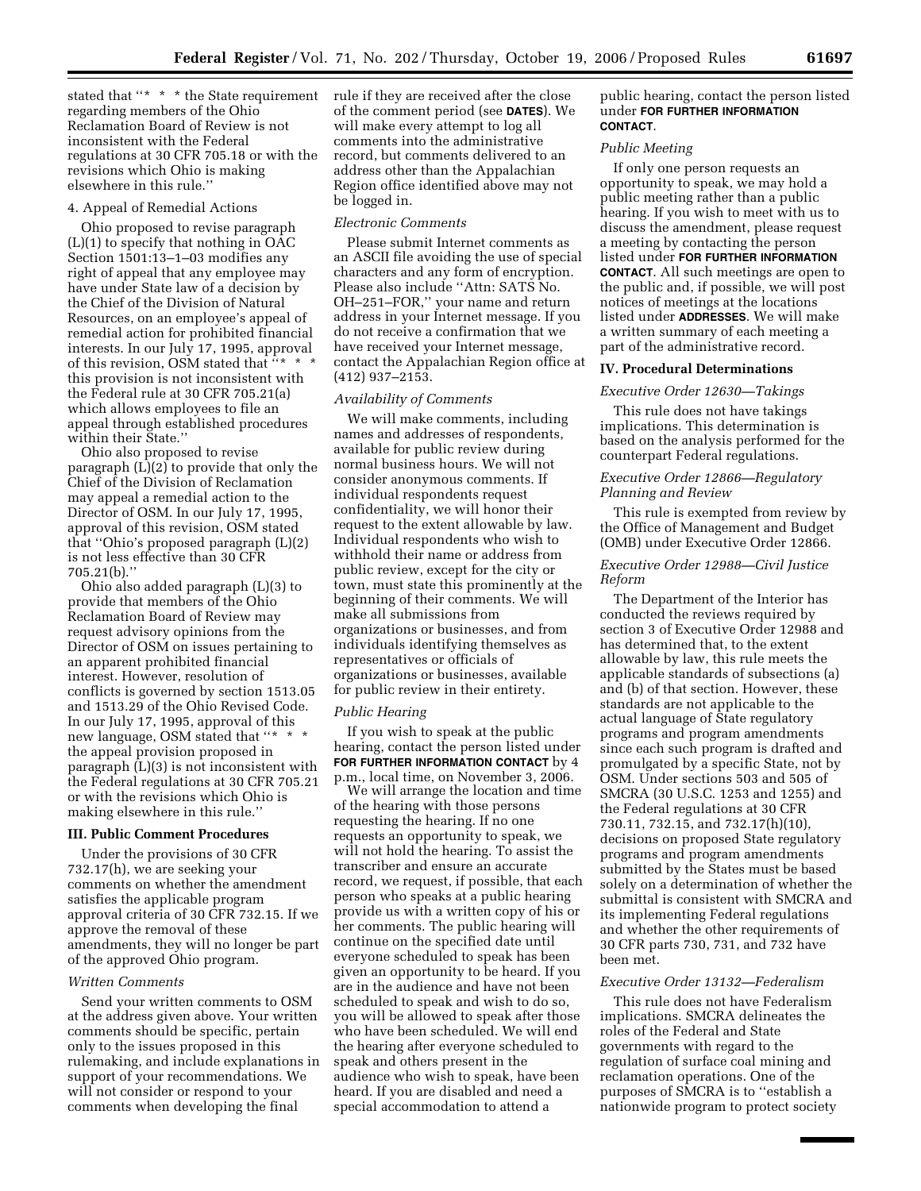stated that ''\* \* \* the State requirement rule if they are received after the close regarding members of the Ohio Reclamation Board of Review is not inconsistent with the Federal regulations at 30 CFR 705.18 or with the revisions which Ohio is making elsewhere in this rule.''

#### 4. Appeal of Remedial Actions

Ohio proposed to revise paragraph (L)(1) to specify that nothing in OAC Section 1501:13–1–03 modifies any right of appeal that any employee may have under State law of a decision by the Chief of the Division of Natural Resources, on an employee's appeal of remedial action for prohibited financial interests. In our July 17, 1995, approval of this revision, OSM stated that ''\* \* \* this provision is not inconsistent with the Federal rule at 30 CFR 705.21(a) which allows employees to file an appeal through established procedures within their State.''

Ohio also proposed to revise paragraph (L)(2) to provide that only the Chief of the Division of Reclamation may appeal a remedial action to the Director of OSM. In our July 17, 1995, approval of this revision, OSM stated that ''Ohio's proposed paragraph (L)(2) is not less effective than 30 CFR 705.21(b).''

Ohio also added paragraph (L)(3) to provide that members of the Ohio Reclamation Board of Review may request advisory opinions from the Director of OSM on issues pertaining to an apparent prohibited financial interest. However, resolution of conflicts is governed by section 1513.05 and 1513.29 of the Ohio Revised Code. In our July 17, 1995, approval of this new language, OSM stated that "\* the appeal provision proposed in paragraph (L)(3) is not inconsistent with the Federal regulations at 30 CFR 705.21 or with the revisions which Ohio is making elsewhere in this rule.''

## **III. Public Comment Procedures**

Under the provisions of 30 CFR 732.17(h), we are seeking your comments on whether the amendment satisfies the applicable program approval criteria of 30 CFR 732.15. If we approve the removal of these amendments, they will no longer be part of the approved Ohio program.

#### *Written Comments*

Send your written comments to OSM at the address given above. Your written comments should be specific, pertain only to the issues proposed in this rulemaking, and include explanations in support of your recommendations. We will not consider or respond to your comments when developing the final

of the comment period (see **DATES**). We will make every attempt to log all comments into the administrative record, but comments delivered to an address other than the Appalachian Region office identified above may not be logged in.

#### *Electronic Comments*

Please submit Internet comments as an ASCII file avoiding the use of special characters and any form of encryption. Please also include ''Attn: SATS No. OH–251–FOR,'' your name and return address in your Internet message. If you do not receive a confirmation that we have received your Internet message, contact the Appalachian Region office at (412) 937–2153.

#### *Availability of Comments*

We will make comments, including names and addresses of respondents, available for public review during normal business hours. We will not consider anonymous comments. If individual respondents request confidentiality, we will honor their request to the extent allowable by law. Individual respondents who wish to withhold their name or address from public review, except for the city or town, must state this prominently at the beginning of their comments. We will make all submissions from organizations or businesses, and from individuals identifying themselves as representatives or officials of organizations or businesses, available for public review in their entirety.

#### *Public Hearing*

If you wish to speak at the public hearing, contact the person listed under **FOR FURTHER INFORMATION CONTACT** by 4 p.m., local time, on November 3, 2006.

We will arrange the location and time of the hearing with those persons requesting the hearing. If no one requests an opportunity to speak, we will not hold the hearing. To assist the transcriber and ensure an accurate record, we request, if possible, that each person who speaks at a public hearing provide us with a written copy of his or her comments. The public hearing will continue on the specified date until everyone scheduled to speak has been given an opportunity to be heard. If you are in the audience and have not been scheduled to speak and wish to do so, you will be allowed to speak after those who have been scheduled. We will end the hearing after everyone scheduled to speak and others present in the audience who wish to speak, have been heard. If you are disabled and need a special accommodation to attend a

public hearing, contact the person listed under **FOR FURTHER INFORMATION CONTACT**.

#### *Public Meeting*

If only one person requests an opportunity to speak, we may hold a public meeting rather than a public hearing. If you wish to meet with us to discuss the amendment, please request a meeting by contacting the person listed under **FOR FURTHER INFORMATION CONTACT**. All such meetings are open to the public and, if possible, we will post notices of meetings at the locations listed under **ADDRESSES**. We will make a written summary of each meeting a part of the administrative record.

### **IV. Procedural Determinations**

#### *Executive Order 12630—Takings*

This rule does not have takings implications. This determination is based on the analysis performed for the counterpart Federal regulations.

### *Executive Order 12866—Regulatory Planning and Review*

This rule is exempted from review by the Office of Management and Budget (OMB) under Executive Order 12866.

### *Executive Order 12988—Civil Justice Reform*

The Department of the Interior has conducted the reviews required by section 3 of Executive Order 12988 and has determined that, to the extent allowable by law, this rule meets the applicable standards of subsections (a) and (b) of that section. However, these standards are not applicable to the actual language of State regulatory programs and program amendments since each such program is drafted and promulgated by a specific State, not by OSM. Under sections 503 and 505 of SMCRA (30 U.S.C. 1253 and 1255) and the Federal regulations at 30 CFR 730.11, 732.15, and 732.17(h)(10), decisions on proposed State regulatory programs and program amendments submitted by the States must be based solely on a determination of whether the submittal is consistent with SMCRA and its implementing Federal regulations and whether the other requirements of 30 CFR parts 730, 731, and 732 have been met.

#### *Executive Order 13132—Federalism*

This rule does not have Federalism implications. SMCRA delineates the roles of the Federal and State governments with regard to the regulation of surface coal mining and reclamation operations. One of the purposes of SMCRA is to ''establish a nationwide program to protect society